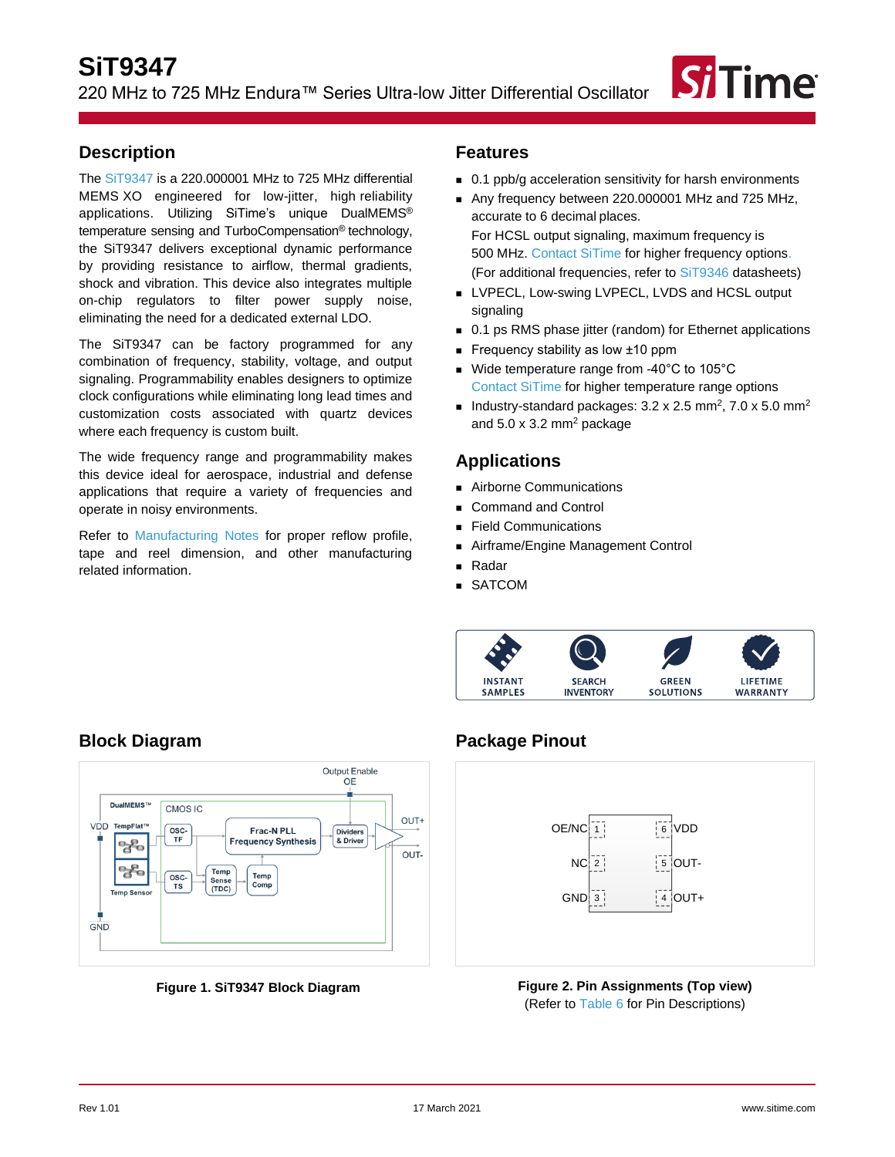

## <span id="page-0-0"></span>**Description**

The [SiT9347](https://www.sitime.com/products/lvpecl-lvds-hcsl-ruggedized-oscillators/sit9347) is a 220.000001 MHz to 725 MHz differential MEMS XO engineered for low-jitter, high reliability applications. Utilizing SiTime's unique DualMEMS® temperature sensing and TurboCompensation® technology, the SiT9347 delivers exceptional dynamic performance by providing resistance to airflow, thermal gradients, shock and vibration. This device also integrates multiple on-chip regulators to filter power supply noise, eliminating the need for a dedicated external LDO.

The SiT9347 can be factory programmed for any combination of frequency, stability, voltage, and output signaling. Programmability enables designers to optimize clock configurations while eliminating long lead times and customization costs associated with quartz devices where each frequency is custom built.

The wide frequency range and programmability makes this device ideal for aerospace, industrial and defense applications that require a variety of frequencies and operate in noisy environments.

Refer to [Manufacturing Notes](https://www.sitime.com/sites/default/files/gated/Manufacturing-Notes-for-SiTime-Products.pdf) for proper reflow profile, tape and reel dimension, and other manufacturing related information.

## <span id="page-0-1"></span>**Features**

- 0.1 ppb/g acceleration sensitivity for harsh environments
- Any frequency between 220.000001 MHz and 725 MHz, accurate to 6 decimal places. For HCSL output signaling, maximum frequency is

500 MHz[. Contact SiTime](https://www.sitime.com/contact-us) for higher frequency options. (For additional frequencies, refer to [SiT9346](https://www.sitime.com/products/lvpecl-lvds-hcsl-ruggedized-oscillators/sit9346) datasheets)

- LVPECL, Low-swing LVPECL, LVDS and HCSL output signaling
- 0.1 ps RMS phase jitter (random) for Ethernet applications
- Frequency stability as low ±10 ppm
- Wide temperature range from -40°C to 105°C [Contact SiTime](https://www.sitime.com/contact-us) for higher temperature range options
- Industry-standard packages:  $3.2 \times 2.5$  mm<sup>2</sup>,  $7.0 \times 5.0$  mm<sup>2</sup> and  $5.0 \times 3.2$  mm<sup>2</sup> package

## <span id="page-0-2"></span>**Applications**

- Airborne Communications
- Command and Control
- **Field Communications**
- Airframe/Engine Management Control
- Radar
- SATCOM



# <span id="page-0-3"></span>**Block Diagram**



**Figure 1. SiT9347 Block Diagram**

# <span id="page-0-4"></span>**Package Pinout**



**Figure 2. Pin Assignments (Top view)** (Refer to [Table 6](#page-6-0) for Pin Descriptions)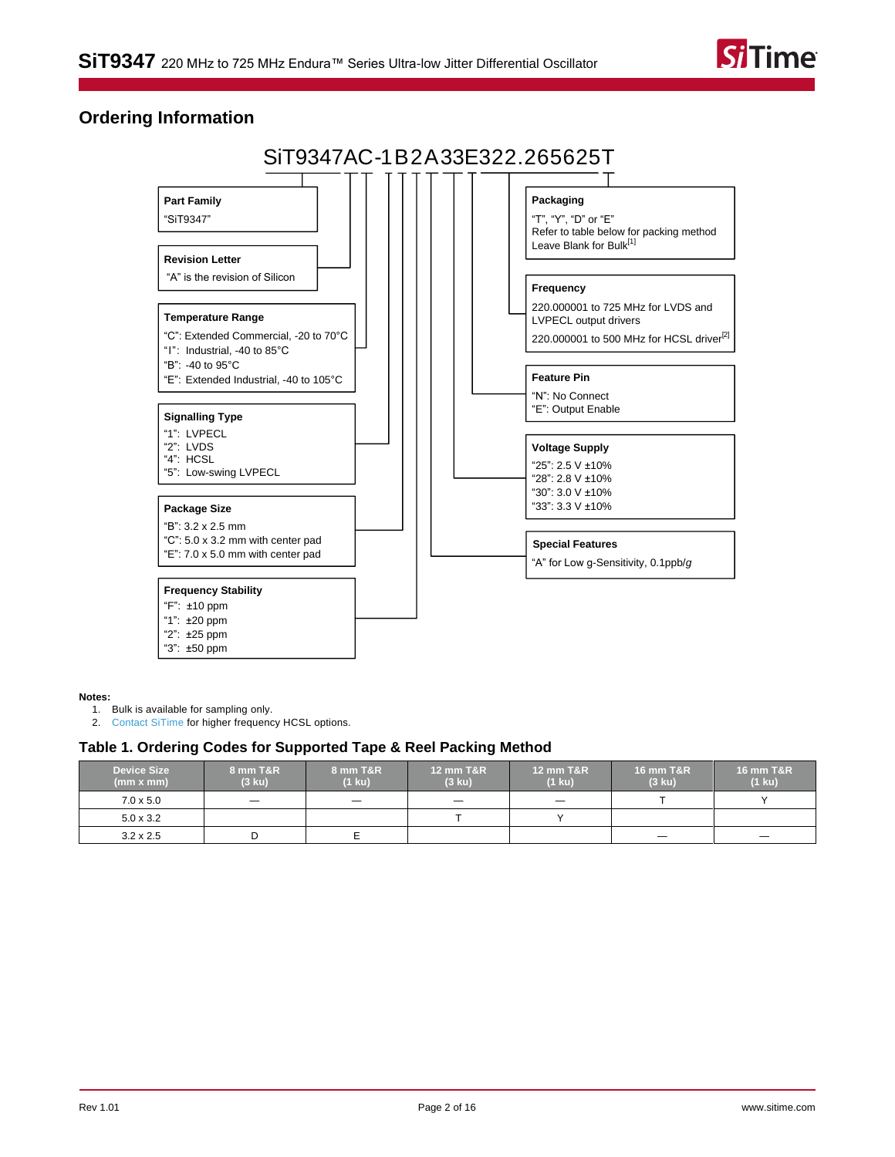

## <span id="page-1-2"></span>**Ordering Information**



#### **Notes:**

<span id="page-1-0"></span>1. Bulk is available for sampling only.

<span id="page-1-1"></span>2. [Contact SiTime](https://www.sitime.com/contact-us) for higher frequency HCSL options.

#### **Table 1. Ordering Codes for Supported Tape & Reel Packing Method**

| <b>Device Size</b><br>(mm x mm) | 8 mm T&R<br>$(3 \text{ ku})$ | 8 mm T&R<br>$(1 \text{ ku})$ | <b>12 mm T&amp;R</b><br>$(3 \text{ ku})$ | <b>12 mm T&amp;R</b><br>$(1 \text{ ku})$ | <b>16 mm T&amp;R</b><br>$(3 \text{ ku})$ | <b>16 mm T&amp;R</b><br>$(1 \text{ ku})$ |
|---------------------------------|------------------------------|------------------------------|------------------------------------------|------------------------------------------|------------------------------------------|------------------------------------------|
| $7.0 \times 5.0$                |                              | $\qquad \qquad -$            |                                          |                                          |                                          |                                          |
| $5.0 \times 3.2$                |                              |                              |                                          |                                          |                                          |                                          |
| $3.2 \times 2.5$                |                              |                              |                                          |                                          |                                          |                                          |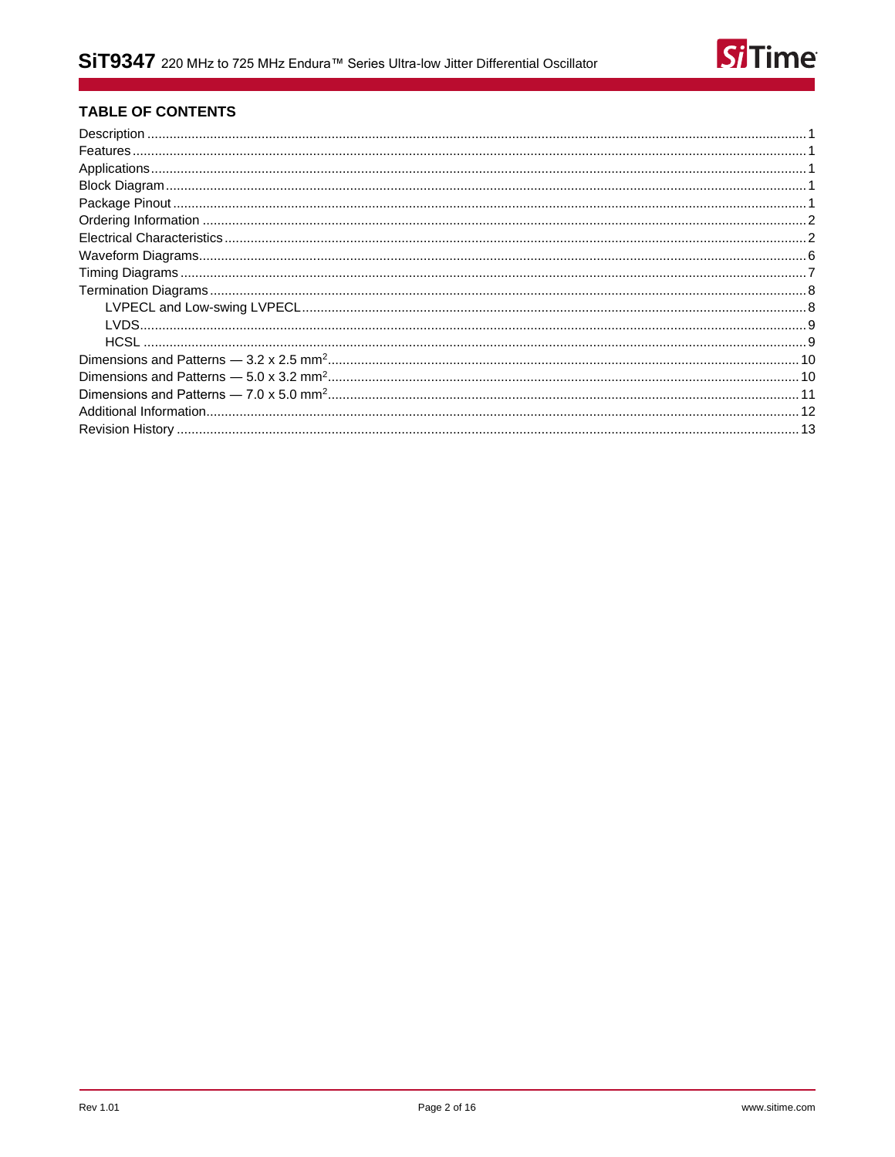

### **TABLE OF CONTENTS**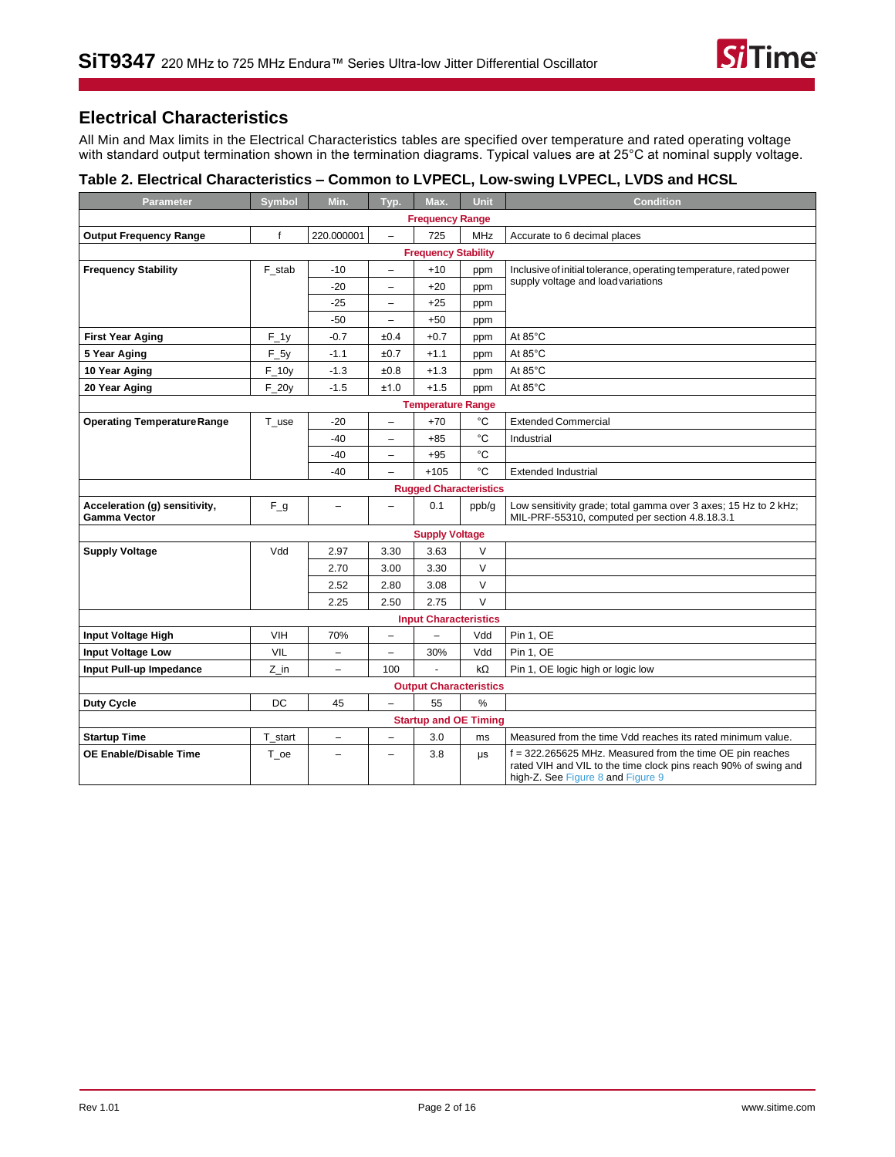# <span id="page-3-0"></span>**Electrical Characteristics**

All Min and Max limits in the Electrical Characteristics tables are specified over temperature and rated operating voltage with standard output termination shown in the termination diagrams. Typical values are at 25°C at nominal supply voltage.

### <span id="page-3-1"></span>**Table 2. Electrical Characteristics – Common to LVPECL, Low-swing LVPECL, LVDS and HCSL**

| <b>Parameter</b>                                     | <b>Symbol</b> | Min.                     | Typ.                     | Max.                          | <b>Unit</b>   | <b>Condition</b>                                                                                                                                                    |
|------------------------------------------------------|---------------|--------------------------|--------------------------|-------------------------------|---------------|---------------------------------------------------------------------------------------------------------------------------------------------------------------------|
|                                                      |               |                          |                          | <b>Frequency Range</b>        |               |                                                                                                                                                                     |
| <b>Output Frequency Range</b>                        | f             | 220.000001               | $\overline{\phantom{0}}$ | 725                           | MHz           | Accurate to 6 decimal places                                                                                                                                        |
|                                                      |               |                          |                          | <b>Frequency Stability</b>    |               |                                                                                                                                                                     |
| <b>Frequency Stability</b>                           | F_stab        | $-10$                    | $\overline{\phantom{0}}$ | $+10$                         | ppm           | Inclusive of initial tolerance, operating temperature, rated power                                                                                                  |
|                                                      |               | $-20$                    | ÷                        | $+20$                         | ppm           | supply voltage and load variations                                                                                                                                  |
|                                                      |               | -25                      | $\overline{\phantom{0}}$ | $+25$                         | ppm           |                                                                                                                                                                     |
|                                                      |               | $-50$                    | $\qquad \qquad -$        | $+50$                         | ppm           |                                                                                                                                                                     |
| <b>First Year Aging</b>                              | $F_1$         | $-0.7$                   | ±0.4                     | $+0.7$                        | ppm           | At $85^{\circ}$ C                                                                                                                                                   |
| 5 Year Aging                                         | $F_5y$        | $-1.1$                   | ±0.7                     | $+1.1$                        | ppm           | At 85°C                                                                                                                                                             |
| 10 Year Aging                                        | $F_1$ 10y     | $-1.3$                   | ±0.8                     | $+1.3$                        | ppm           | At $85^{\circ}$ C                                                                                                                                                   |
| 20 Year Aging                                        | $F_2$         | $-1.5$                   | ±1.0                     | $+1.5$                        | ppm           | At 85°C                                                                                                                                                             |
| <b>Temperature Range</b>                             |               |                          |                          |                               |               |                                                                                                                                                                     |
| <b>Operating Temperature Range</b>                   | T use         | $-20$                    | $\overline{\phantom{0}}$ | $+70$                         | $^{\circ}C$   | <b>Extended Commercial</b>                                                                                                                                          |
|                                                      |               | $-40$                    | -                        | $+85$                         | $^{\circ}C$   | Industrial                                                                                                                                                          |
|                                                      |               | -40                      | $\overline{\phantom{0}}$ | $+95$                         | $^{\circ}C$   |                                                                                                                                                                     |
|                                                      |               | $-40$                    | $\overline{\phantom{0}}$ | $+105$                        | °C            | <b>Extended Industrial</b>                                                                                                                                          |
|                                                      |               |                          |                          | <b>Rugged Characteristics</b> |               |                                                                                                                                                                     |
| Acceleration (g) sensitivity,<br><b>Gamma Vector</b> | $F_g$         | -                        | $\overline{\phantom{0}}$ | 0.1                           | ppb/g         | Low sensitivity grade; total gamma over 3 axes; 15 Hz to 2 kHz;<br>MIL-PRF-55310, computed per section 4.8.18.3.1                                                   |
|                                                      |               |                          |                          | <b>Supply Voltage</b>         |               |                                                                                                                                                                     |
| <b>Supply Voltage</b>                                | Vdd           | 2.97                     | 3.30                     | 3.63                          | V             |                                                                                                                                                                     |
|                                                      |               | 2.70                     | 3.00                     | 3.30                          | V             |                                                                                                                                                                     |
|                                                      |               | 2.52                     | 2.80                     | 3.08                          | V             |                                                                                                                                                                     |
|                                                      |               | 2.25                     | 2.50                     | 2.75                          | $\vee$        |                                                                                                                                                                     |
|                                                      |               |                          |                          | <b>Input Characteristics</b>  |               |                                                                                                                                                                     |
| Input Voltage High                                   | <b>VIH</b>    | 70%                      | $\overline{a}$           | $\qquad \qquad -$             | Vdd           | Pin 1, OE                                                                                                                                                           |
| <b>Input Voltage Low</b>                             | <b>VIL</b>    | -                        | -                        | 30%                           | Vdd           | Pin 1, OE                                                                                                                                                           |
| Input Pull-up Impedance                              | Z in          | $\overline{\phantom{a}}$ | 100                      |                               | $k\Omega$     | Pin 1, OE logic high or logic low                                                                                                                                   |
|                                                      |               |                          |                          | <b>Output Characteristics</b> |               |                                                                                                                                                                     |
| Duty Cycle                                           | DC            | 45                       | $\overline{\phantom{0}}$ | 55                            | $\frac{1}{2}$ |                                                                                                                                                                     |
|                                                      |               |                          |                          | <b>Startup and OE Timing</b>  |               |                                                                                                                                                                     |
| <b>Startup Time</b>                                  | T_start       | $\overline{\phantom{0}}$ | $\overline{\phantom{0}}$ | 3.0                           | ms            | Measured from the time Vdd reaches its rated minimum value.                                                                                                         |
| <b>OE Enable/Disable Time</b>                        | T oe          | $\overline{\phantom{0}}$ | ۳                        | 3.8                           | μs            | $f = 322.265625$ MHz. Measured from the time OE pin reaches<br>rated VIH and VIL to the time clock pins reach 90% of swing and<br>high-Z. See Figure 8 and Figure 9 |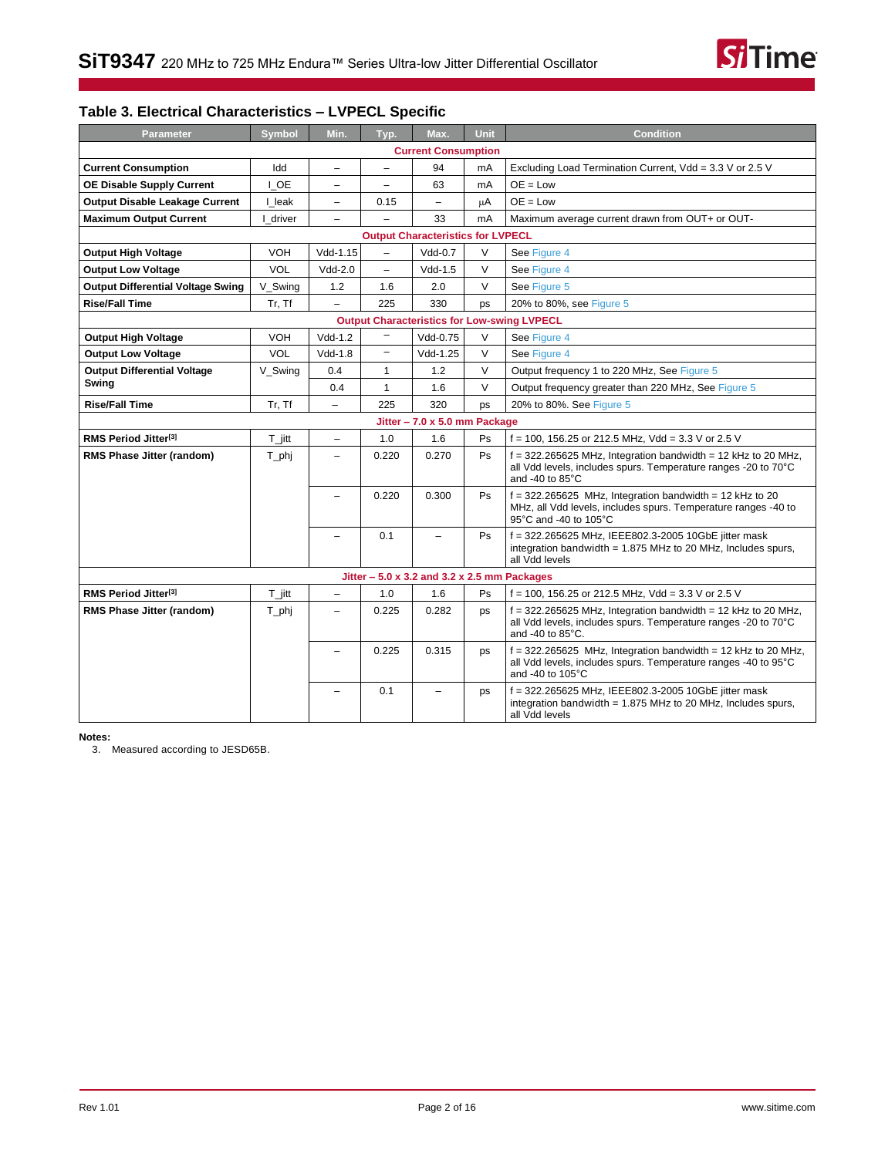

## **Table 3. Electrical Characteristics – LVPECL Specific**

| <b>Parameter</b>                         | <b>Symbol</b>        | Min.                     | Typ.                     | Max.                                          | Unit   | <b>Condition</b>                                                                                                                                      |
|------------------------------------------|----------------------|--------------------------|--------------------------|-----------------------------------------------|--------|-------------------------------------------------------------------------------------------------------------------------------------------------------|
|                                          |                      |                          |                          | <b>Current Consumption</b>                    |        |                                                                                                                                                       |
| <b>Current Consumption</b>               | Idd                  | $\qquad \qquad -$        | $\overline{\phantom{0}}$ | 94                                            | mA     | Excluding Load Termination Current, Vdd = 3.3 V or 2.5 V                                                                                              |
| <b>OE Disable Supply Current</b>         | I OE                 | $\qquad \qquad -$        | $\overline{\phantom{0}}$ | 63                                            | mA     | $OE = Low$                                                                                                                                            |
| Output Disable Leakage Current           | I leak               | $\equiv$                 | 0.15                     | $\overline{\phantom{0}}$                      | μA     | $OE = Low$                                                                                                                                            |
| <b>Maximum Output Current</b>            | driver               | $\overline{\phantom{0}}$ |                          | 33                                            | mA     | Maximum average current drawn from OUT+ or OUT-                                                                                                       |
|                                          |                      |                          |                          | <b>Output Characteristics for LVPECL</b>      |        |                                                                                                                                                       |
| Output High Voltage                      | <b>VOH</b>           | Vdd-1.15                 | $\overline{a}$           | $Vdd-0.7$                                     | V      | See Figure 4                                                                                                                                          |
| <b>Output Low Voltage</b>                | <b>VOL</b>           | $Vdd-2.0$                | $\overline{\phantom{0}}$ | $Vdd-1.5$                                     | V      | See Figure 4                                                                                                                                          |
| <b>Output Differential Voltage Swing</b> | V_Swing              | 1.2                      | 1.6                      | 2.0                                           | V      | See Figure 5                                                                                                                                          |
| <b>Rise/Fall Time</b>                    | Tr, Tf               | $\equiv$                 | 225                      | 330                                           | ps     | 20% to 80%, see Figure 5                                                                                                                              |
|                                          |                      |                          |                          |                                               |        | <b>Output Characteristics for Low-swing LVPECL</b>                                                                                                    |
| <b>Output High Voltage</b>               | <b>VOH</b>           | $Vdd-1.2$                | $\overline{\phantom{0}}$ | Vdd-0.75                                      | V      | See Figure 4                                                                                                                                          |
| <b>Output Low Voltage</b>                | <b>VOL</b>           | $Vdd-1.8$                | $\overline{\phantom{0}}$ | Vdd-1.25                                      | $\vee$ | See Figure 4                                                                                                                                          |
| <b>Output Differential Voltage</b>       | V Swing              | 0.4                      | $\mathbf{1}$             | 1.2                                           | $\vee$ | Output frequency 1 to 220 MHz, See Figure 5                                                                                                           |
| Swing                                    |                      | 0.4                      | $\mathbf{1}$             | 1.6                                           | $\vee$ | Output frequency greater than 220 MHz, See Figure 5                                                                                                   |
| <b>Rise/Fall Time</b>                    | Tr, Tf               | $\qquad \qquad -$        | 225                      | 320                                           | ps     | 20% to 80%. See Figure 5                                                                                                                              |
|                                          |                      |                          |                          | Jitter - 7.0 x 5.0 mm Package                 |        |                                                                                                                                                       |
| RMS Period Jitter <sup>[3]</sup>         | $T_{\parallel}$ jitt | $\qquad \qquad -$        | 1.0                      | 1.6                                           | Ps     | $f = 100$ , 156.25 or 212.5 MHz, Vdd = 3.3 V or 2.5 V                                                                                                 |
| RMS Phase Jitter (random)                | T_phj                | $\overline{\phantom{0}}$ | 0.220                    | 0.270                                         | Ps     | $f = 322.265625$ MHz, Integration bandwidth = 12 kHz to 20 MHz,<br>all Vdd levels, includes spurs. Temperature ranges -20 to 70°C<br>and -40 to 85°C  |
|                                          |                      | $\equiv$                 | 0.220                    | 0.300                                         | Ps     | $f = 322.265625$ MHz, Integration bandwidth = 12 kHz to 20<br>MHz, all Vdd levels, includes spurs. Temperature ranges -40 to<br>95°C and -40 to 105°C |
|                                          |                      | $\overline{\phantom{0}}$ | 0.1                      | $\overline{\phantom{0}}$                      | Ps     | f = 322.265625 MHz, IEEE802.3-2005 10GbE jitter mask<br>integration bandwidth = $1.875$ MHz to 20 MHz, Includes spurs,<br>all Vdd levels              |
|                                          |                      |                          |                          | Jitter $-5.0$ x 3.2 and 3.2 x 2.5 mm Packages |        |                                                                                                                                                       |
| RMS Period Jitter <sup>[3]</sup>         | T jitt               |                          | 1.0                      | 1.6                                           | Ps     | $f = 100$ , 156.25 or 212.5 MHz, Vdd = 3.3 V or 2.5 V                                                                                                 |
| RMS Phase Jitter (random)                | T_phj                | -                        | 0.225                    | 0.282                                         | ps     | $f = 322.265625$ MHz, Integration bandwidth = 12 kHz to 20 MHz,<br>all Vdd levels, includes spurs. Temperature ranges -20 to 70°C<br>and -40 to 85°C. |
|                                          |                      |                          | 0.225                    | 0.315                                         | ps     | $f = 322.265625$ MHz, Integration bandwidth = 12 kHz to 20 MHz,<br>all Vdd levels, includes spurs. Temperature ranges -40 to 95°C<br>and -40 to 105°C |
|                                          |                      |                          | 0.1                      | $\equiv$                                      | ps     | f = 322.265625 MHz, IEEE802.3-2005 10GbE jitter mask<br>integration bandwidth = $1.875$ MHz to 20 MHz, Includes spurs,<br>all Vdd levels              |

<span id="page-4-0"></span>**Notes:**

3. Measured according to JESD65B.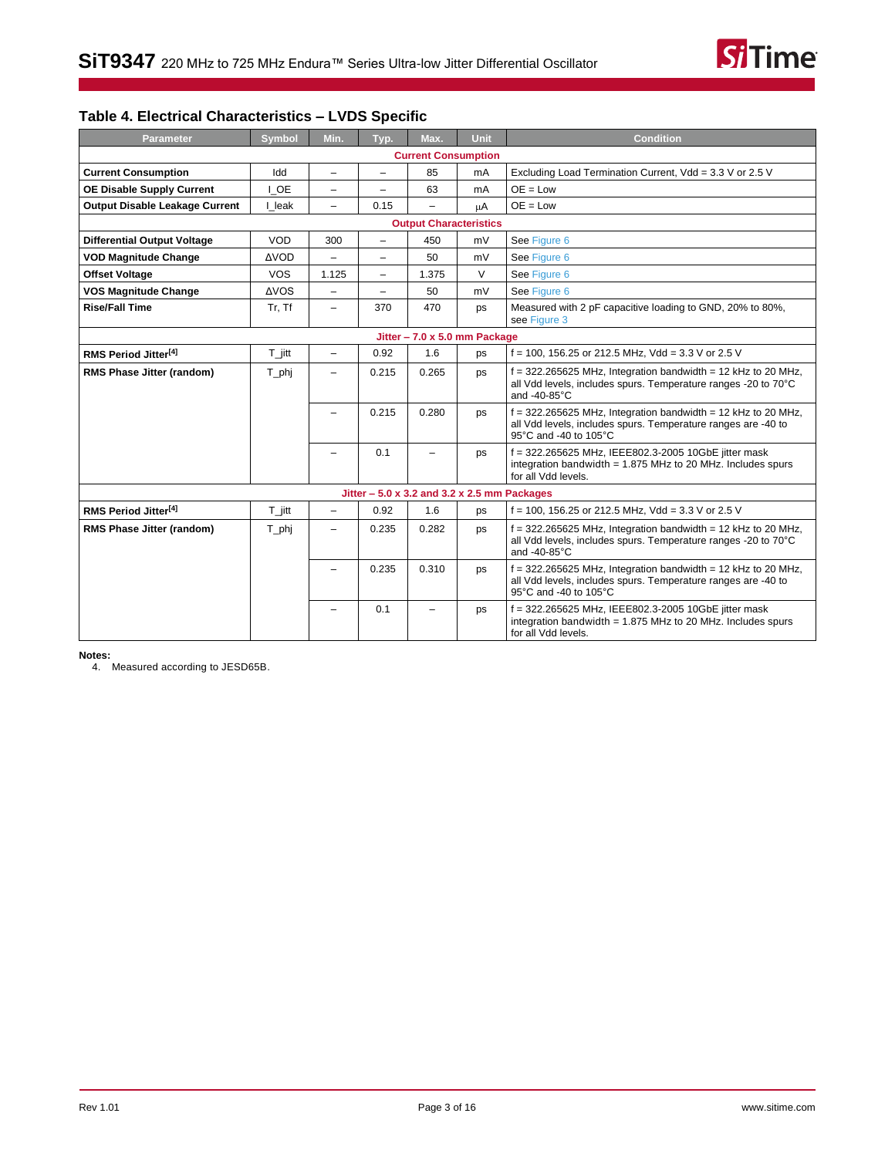

## **Table 4. Electrical Characteristics – LVDS Specific**

| <b>Parameter</b>                      | <b>Symbol</b>        | Min.                     | Typ.                     | Max.                                          | Unit   | <b>Condition</b>                                                                                                                                          |
|---------------------------------------|----------------------|--------------------------|--------------------------|-----------------------------------------------|--------|-----------------------------------------------------------------------------------------------------------------------------------------------------------|
|                                       |                      |                          |                          | <b>Current Consumption</b>                    |        |                                                                                                                                                           |
| <b>Current Consumption</b>            | Idd                  | $\equiv$                 | $\overline{\phantom{0}}$ | 85                                            | mA     | Excluding Load Termination Current, Vdd = 3.3 V or 2.5 V                                                                                                  |
| <b>OE Disable Supply Current</b>      | I OE                 | -                        | Ξ.                       | 63                                            | mA     | $OE = Low$                                                                                                                                                |
| <b>Output Disable Leakage Current</b> | I leak               | Ξ.                       | 0.15                     | $\overline{\phantom{0}}$                      | μA     | $OE = Low$                                                                                                                                                |
|                                       |                      |                          |                          | <b>Output Characteristics</b>                 |        |                                                                                                                                                           |
| <b>Differential Output Voltage</b>    | VOD                  | 300                      | $\overline{\phantom{0}}$ | 450                                           | mV     | See Figure 6                                                                                                                                              |
| <b>VOD Magnitude Change</b>           | <b>AVOD</b>          |                          | -                        | 50                                            | mV     | See Figure 6                                                                                                                                              |
| <b>Offset Voltage</b>                 | <b>VOS</b>           | 1.125                    | Ξ.                       | 1.375                                         | $\vee$ | See Figure 6                                                                                                                                              |
| <b>VOS Magnitude Change</b>           | <b>AVOS</b>          | Ξ.                       | -                        | 50                                            | mV     | See Figure 6                                                                                                                                              |
| <b>Rise/Fall Time</b>                 | Tr, Tf               | $\overline{\phantom{0}}$ | 370                      | 470                                           | ps     | Measured with 2 pF capacitive loading to GND, 20% to 80%,<br>see Figure 3                                                                                 |
| Jitter - 7.0 x 5.0 mm Package         |                      |                          |                          |                                               |        |                                                                                                                                                           |
| RMS Period Jitter <sup>[4]</sup>      | $T_{\parallel}$ jitt | $\overline{\phantom{0}}$ | 0.92                     | 1.6                                           | ps     | $f = 100$ , 156.25 or 212.5 MHz, Vdd = 3.3 V or 2.5 V                                                                                                     |
| RMS Phase Jitter (random)             | $T$ <sub>_phj</sub>  |                          | 0.215                    | 0.265                                         | ps     | $f = 322.265625$ MHz, Integration bandwidth = 12 kHz to 20 MHz,<br>all Vdd levels, includes spurs. Temperature ranges -20 to 70°C<br>and -40-85°C         |
|                                       |                      | ÷                        | 0.215                    | 0.280                                         | ps     | $f = 322.265625$ MHz, Integration bandwidth = 12 kHz to 20 MHz,<br>all Vdd levels, includes spurs. Temperature ranges are -40 to<br>95°C and -40 to 105°C |
|                                       |                      | -                        | 0.1                      | -                                             | ps     | f = 322.265625 MHz, IEEE802.3-2005 10GbE jitter mask<br>integration bandwidth = $1.875$ MHz to 20 MHz. Includes spurs<br>for all Vdd levels.              |
|                                       |                      |                          |                          | Jitter $-5.0$ x 3.2 and 3.2 x 2.5 mm Packages |        |                                                                                                                                                           |
| RMS Period Jitter <sup>[4]</sup>      | $T_{\parallel}$ itt  | -                        | 0.92                     | 1.6                                           | ps     | $f = 100$ , 156.25 or 212.5 MHz, Vdd = 3.3 V or 2.5 V                                                                                                     |
| RMS Phase Jitter (random)             | T_phj                | Ξ.                       | 0.235                    | 0.282                                         | ps     | $f = 322.265625$ MHz, Integration bandwidth = 12 kHz to 20 MHz,<br>all Vdd levels, includes spurs. Temperature ranges -20 to 70°C<br>and -40-85°C         |
|                                       |                      | -                        | 0.235                    | 0.310                                         | ps     | $f = 322.265625$ MHz, Integration bandwidth = 12 kHz to 20 MHz,<br>all Vdd levels, includes spurs. Temperature ranges are -40 to<br>95°C and -40 to 105°C |
|                                       |                      | -                        | 0.1                      | -                                             | ps     | f = 322.265625 MHz, IEEE802.3-2005 10GbE jitter mask<br>integration bandwidth = 1.875 MHz to 20 MHz. Includes spurs<br>for all Vdd levels.                |

**Notes:**

<span id="page-5-0"></span>4. Measured according to JESD65B.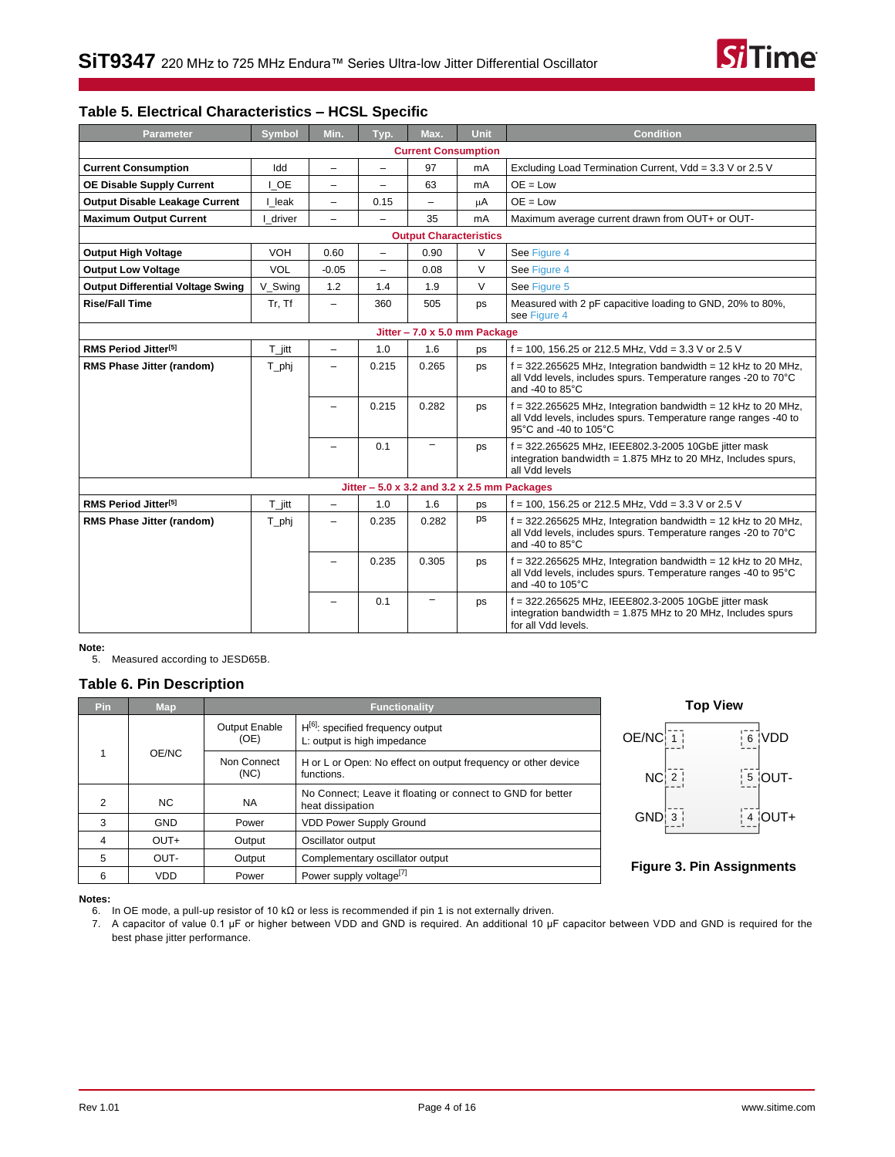

### **Table 5. Electrical Characteristics – HCSL Specific**

| Parameter                                | <b>Symbol</b>        | Min.                     | Typ.                     | Max.                                          | <b>Unit</b> | <b>Condition</b>                                                                                                                                          |
|------------------------------------------|----------------------|--------------------------|--------------------------|-----------------------------------------------|-------------|-----------------------------------------------------------------------------------------------------------------------------------------------------------|
|                                          |                      |                          |                          | <b>Current Consumption</b>                    |             |                                                                                                                                                           |
| <b>Current Consumption</b>               | Idd                  | $\overline{\phantom{0}}$ | $\overline{\phantom{0}}$ | 97                                            | mA          | Excluding Load Termination Current, Vdd = 3.3 V or 2.5 V                                                                                                  |
| <b>OE Disable Supply Current</b>         | I OE                 | -                        | -                        | 63                                            | mA          | $OE = Low$                                                                                                                                                |
| <b>Output Disable Leakage Current</b>    | I leak               | $\overline{\phantom{0}}$ | 0.15                     |                                               | μA          | $OE = Low$                                                                                                                                                |
| <b>Maximum Output Current</b>            | driver               | $\overline{\phantom{0}}$ | $\overline{\phantom{0}}$ | 35                                            | mA          | Maximum average current drawn from OUT+ or OUT-                                                                                                           |
|                                          |                      |                          |                          | <b>Output Characteristics</b>                 |             |                                                                                                                                                           |
| <b>Output High Voltage</b>               | <b>VOH</b>           | 0.60                     | $\overline{\phantom{0}}$ | 0.90                                          | V           | See Figure 4                                                                                                                                              |
| <b>Output Low Voltage</b>                | <b>VOL</b>           | $-0.05$                  | $\overline{\phantom{0}}$ | 0.08                                          | $\vee$      | See Figure 4                                                                                                                                              |
| <b>Output Differential Voltage Swing</b> | V Swing              | 1.2                      | 1.4                      | 1.9                                           | $\vee$      | See Figure 5                                                                                                                                              |
| <b>Rise/Fall Time</b>                    | Tr, Tf               | $\overline{\phantom{a}}$ | 360                      | 505                                           | ps          | Measured with 2 pF capacitive loading to GND, 20% to 80%,<br>see Figure 4                                                                                 |
| Jitter - 7.0 x 5.0 mm Package            |                      |                          |                          |                                               |             |                                                                                                                                                           |
| RMS Period Jitter <sup>[5]</sup>         | $T_{\parallel}$ jitt | $-$                      | 1.0                      | 1.6                                           | ps          | $f = 100$ , 156.25 or 212.5 MHz, Vdd = 3.3 V or 2.5 V                                                                                                     |
| RMS Phase Jitter (random)                | T_phj                |                          | 0.215                    | 0.265                                         | ps          | $f = 322.265625$ MHz, Integration bandwidth = 12 kHz to 20 MHz,<br>all Vdd levels, includes spurs. Temperature ranges -20 to 70°C<br>and -40 to 85°C      |
|                                          |                      |                          | 0.215                    | 0.282                                         | ps          | f = 322.265625 MHz, Integration bandwidth = 12 kHz to 20 MHz,<br>all Vdd levels, includes spurs. Temperature range ranges -40 to<br>95°C and -40 to 105°C |
|                                          |                      |                          | 0.1                      | $\qquad \qquad -$                             | ps          | f = 322.265625 MHz, IEEE802.3-2005 10GbE jitter mask<br>integration bandwidth = $1.875$ MHz to 20 MHz, Includes spurs,<br>all Vdd levels                  |
|                                          |                      |                          |                          | Jitter $-5.0$ x 3.2 and 3.2 x 2.5 mm Packages |             |                                                                                                                                                           |
| RMS Period Jitter <sup>[5]</sup>         | $T_{\parallel}$ itt  | $\overline{\phantom{a}}$ | 1.0                      | 1.6                                           | ps          | $f = 100$ , 156.25 or 212.5 MHz, Vdd = 3.3 V or 2.5 V                                                                                                     |
| <b>RMS Phase Jitter (random)</b>         | T_phj                | $\overline{\phantom{0}}$ | 0.235                    | 0.282                                         | ps          | $f = 322.265625$ MHz, Integration bandwidth = 12 kHz to 20 MHz,<br>all Vdd levels, includes spurs. Temperature ranges -20 to 70°C<br>and -40 to 85°C      |
|                                          |                      | -                        | 0.235                    | 0.305                                         | ps          | $f = 322.265625$ MHz, Integration bandwidth = 12 kHz to 20 MHz,<br>all Vdd levels, includes spurs. Temperature ranges -40 to 95°C<br>and -40 to 105°C     |
|                                          |                      | -                        | 0.1                      | $\overline{\phantom{0}}$                      | ps          | f = 322.265625 MHz, IEEE802.3-2005 10GbE jitter mask<br>integration bandwidth = $1.875$ MHz to 20 MHz, Includes spurs<br>for all Vdd levels.              |

**Note:**

<span id="page-6-2"></span>5. Measured according to JESD65B.

### <span id="page-6-0"></span>**Table 6. Pin Description**

| <b>Pin</b> | Map        |                              | <b>Functionality</b>                                                           | Tor           |
|------------|------------|------------------------------|--------------------------------------------------------------------------------|---------------|
|            |            | <b>Output Enable</b><br>(OE) | $H^{[6]}$ : specified frequency output<br>L: output is high impedance          | OE/NC         |
|            | OE/NC      | Non Connect<br>(NC)          | H or L or Open: No effect on output frequency or other device<br>functions.    | $NC1$ 2       |
| 2          | NC.        | <b>NA</b>                    | No Connect; Leave it floating or connect to GND for better<br>heat dissipation |               |
| 3          | <b>GND</b> | Power                        | <b>VDD Power Supply Ground</b>                                                 | <b>GND</b>    |
| 4          | $OUT+$     | Output                       | Oscillator output                                                              |               |
| 5          | OUT-       | Output                       | Complementary oscillator output                                                |               |
| 6          | <b>VDD</b> | Power                        | Power supply voltage <sup>[7]</sup>                                            | Figure 3. Pir |



### <span id="page-6-1"></span>**Figure 3. Pin Assignments**

<span id="page-6-3"></span>**Notes:**

6. In OE mode, a pull-up resistor of 10 kΩ or less is recommended if pin 1 is not externally driven.

<span id="page-6-4"></span>7. A capacitor of value 0.1 µF or higher between VDD and GND is required. An additional 10 µF capacitor between VDD and GND is required for the best phase jitter performance.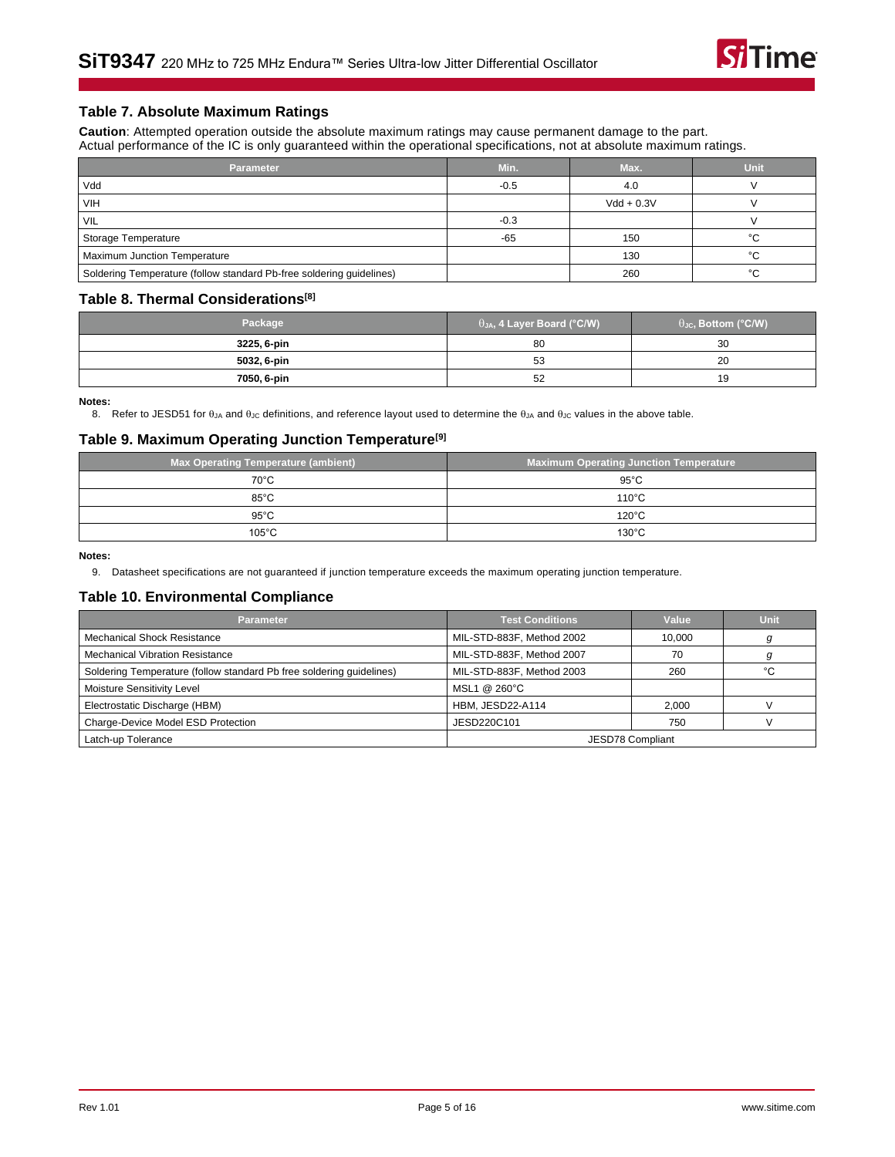

### **Table 7. Absolute Maximum Ratings**

**Caution**: Attempted operation outside the absolute maximum ratings may cause permanent damage to the part. Actual performance of the IC is only guaranteed within the operational specifications, not at absolute maximum ratings.

| <b>Parameter</b>                                                     | Min.   | Max.         | Unit   |
|----------------------------------------------------------------------|--------|--------------|--------|
| Vdd                                                                  | $-0.5$ | 4.0          |        |
| <b>VIH</b>                                                           |        | $Vdd + 0.3V$ |        |
| VIL                                                                  | $-0.3$ |              |        |
| Storage Temperature                                                  | $-65$  | 150          | $\sim$ |
| Maximum Junction Temperature                                         |        | 130          | °€     |
| Soldering Temperature (follow standard Pb-free soldering guidelines) |        | 260          | $\sim$ |

### <span id="page-7-2"></span>**Table 8. Thermal Considerations[\[8\]](#page-7-0)**

| Package     | $\theta$ JA, 4 Layer Board (°C/W) | $\theta_{\text{JC}}$ , Bottom (°C/W) |
|-------------|-----------------------------------|--------------------------------------|
| 3225, 6-pin | 80                                | 30                                   |
| 5032, 6-pin | 53                                | 20                                   |
| 7050, 6-pin | 52                                | 19                                   |

<span id="page-7-0"></span>**Notes:**

8. Refer to JESD51 for  $\theta_{JA}$  and  $\theta_{JC}$  definitions, and reference layout used to determine the  $\theta_{JA}$  and  $\theta_{JC}$  values in the above table.

### **Table 9. Maximum Operating Junction Temperature[\[9\]](#page-7-1)**

| Max Operating Temperature (ambient) | <b>Maximum Operating Junction Temperature</b> |
|-------------------------------------|-----------------------------------------------|
| $70^{\circ}$ C                      | $95^{\circ}$ C                                |
| $85^{\circ}$ C                      | $110^{\circ}$ C                               |
| $95^{\circ}$ C                      | $120^{\circ}$ C                               |
| $105^{\circ}$ C                     | $130^{\circ}$ C                               |

**Notes:**

<span id="page-7-1"></span>9. Datasheet specifications are not guaranteed if junction temperature exceeds the maximum operating junction temperature.

#### **Table 10. Environmental Compliance**

| <b>Parameter</b>                                                     | <b>Test Conditions</b>    | Value            | <b>Unit</b> |
|----------------------------------------------------------------------|---------------------------|------------------|-------------|
| <b>Mechanical Shock Resistance</b>                                   | MIL-STD-883F, Method 2002 | 10.000           |             |
| <b>Mechanical Vibration Resistance</b>                               | MIL-STD-883F, Method 2007 | 70               |             |
| Soldering Temperature (follow standard Pb free soldering quidelines) | MIL-STD-883F, Method 2003 | 260              | °С          |
| Moisture Sensitivity Level                                           | MSL1 @ 260°C              |                  |             |
| Electrostatic Discharge (HBM)                                        | HBM, JESD22-A114          | 2.000            |             |
| Charge-Device Model ESD Protection                                   | JESD220C101               | 750              |             |
| Latch-up Tolerance                                                   |                           | JESD78 Compliant |             |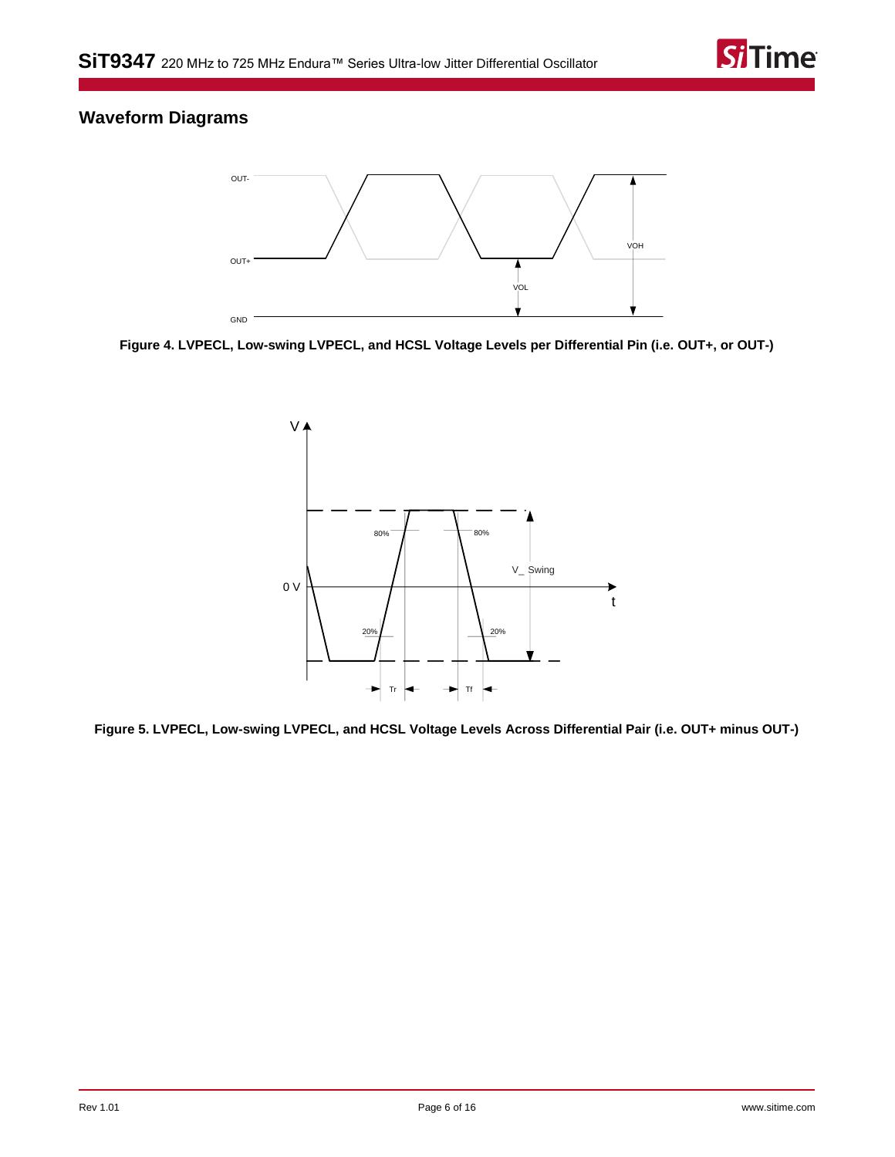

## <span id="page-8-0"></span>**Waveform Diagrams**



<span id="page-8-1"></span>**Figure 4. LVPECL, Low-swing LVPECL, and HCSL Voltage Levels per Differential Pin (i.e. OUT+, or OUT-)**



<span id="page-8-2"></span>**Figure 5. LVPECL, Low-swing LVPECL, and HCSL Voltage Levels Across Differential Pair (i.e. OUT+ minus OUT-)**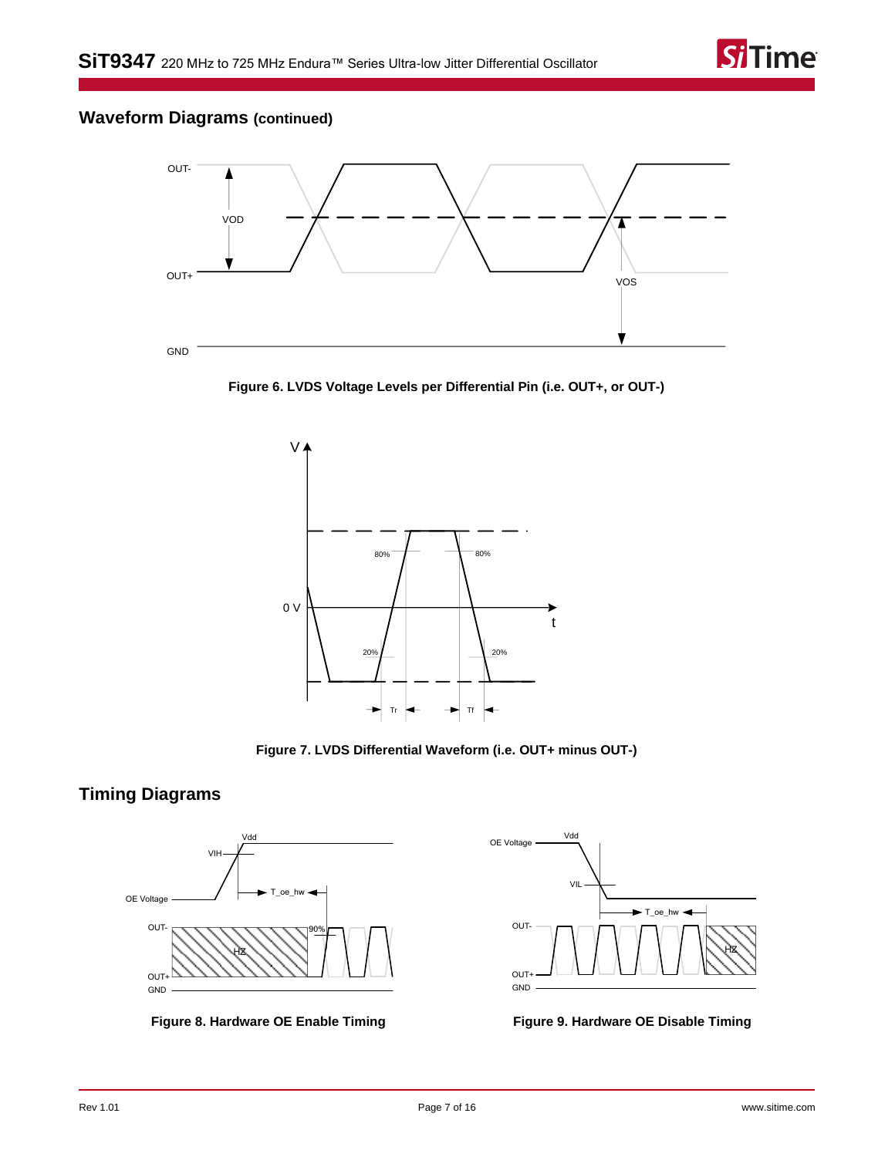

## **Waveform Diagrams (continued)**



<span id="page-9-3"></span>**Figure 6. LVDS Voltage Levels per Differential Pin (i.e. OUT+, or OUT-)**





## <span id="page-9-0"></span>**Timing Diagrams**



<span id="page-9-1"></span>

<span id="page-9-2"></span>

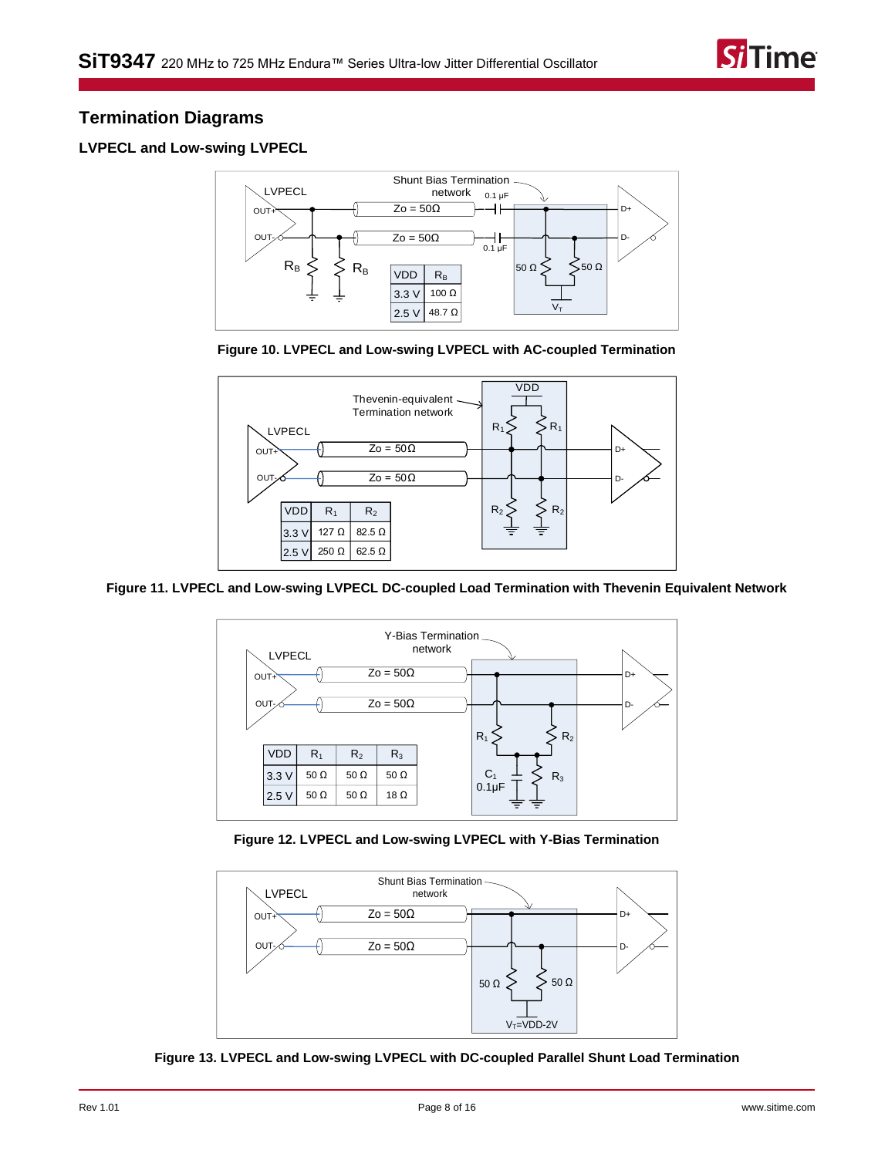

## <span id="page-10-0"></span>**Termination Diagrams**

### <span id="page-10-1"></span>**LVPECL and Low-swing LVPECL**







**Figure 11. LVPECL and Low-swing LVPECL DC-coupled Load Termination with Thevenin Equivalent Network**



**Figure 12. LVPECL and Low-swing LVPECL with Y-Bias Termination**



**Figure 13. LVPECL and Low-swing LVPECL with DC-coupled Parallel Shunt Load Termination**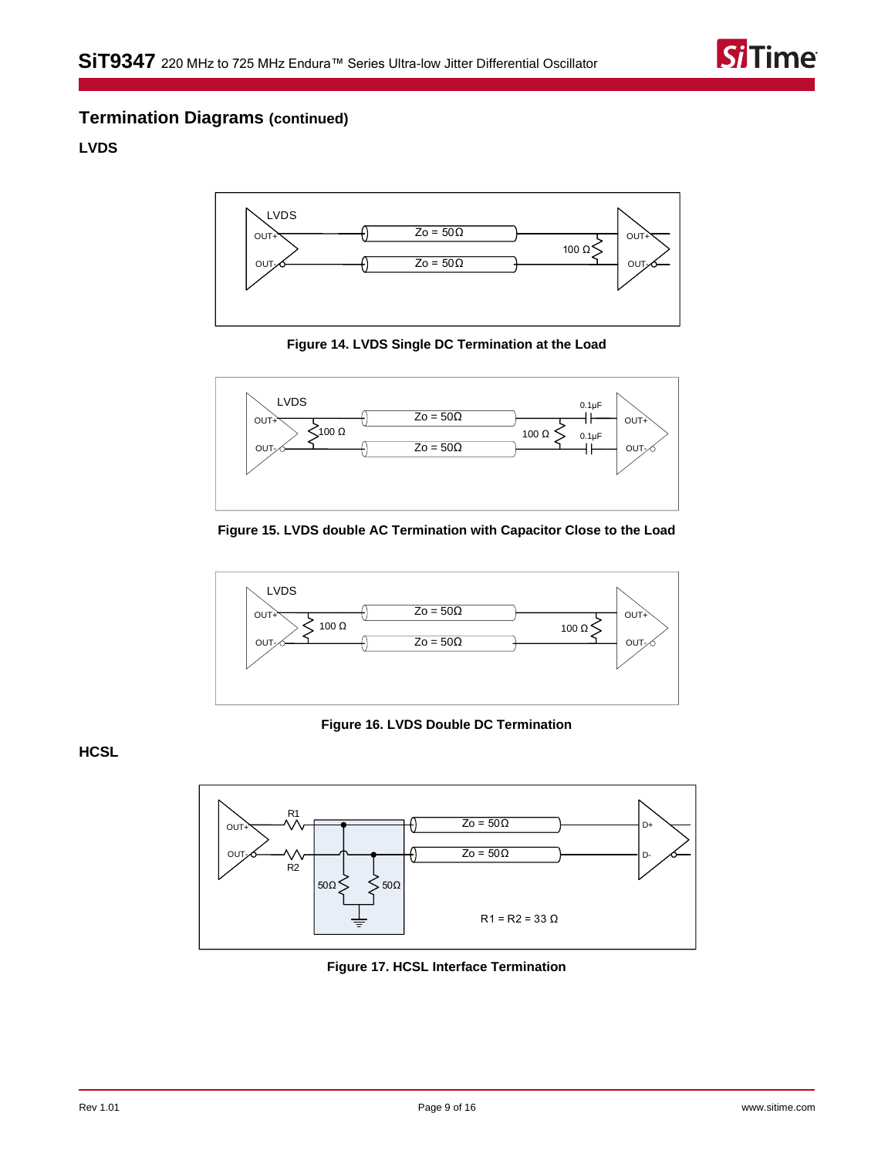

## **Termination Diagrams (continued)**

## <span id="page-11-0"></span>**LVDS**



**Figure 14. LVDS Single DC Termination at the Load**



**Figure 15. LVDS double AC Termination with Capacitor Close to the Load**



**Figure 16. LVDS Double DC Termination**

<span id="page-11-1"></span>**HCSL**



**Figure 17. HCSL Interface Termination**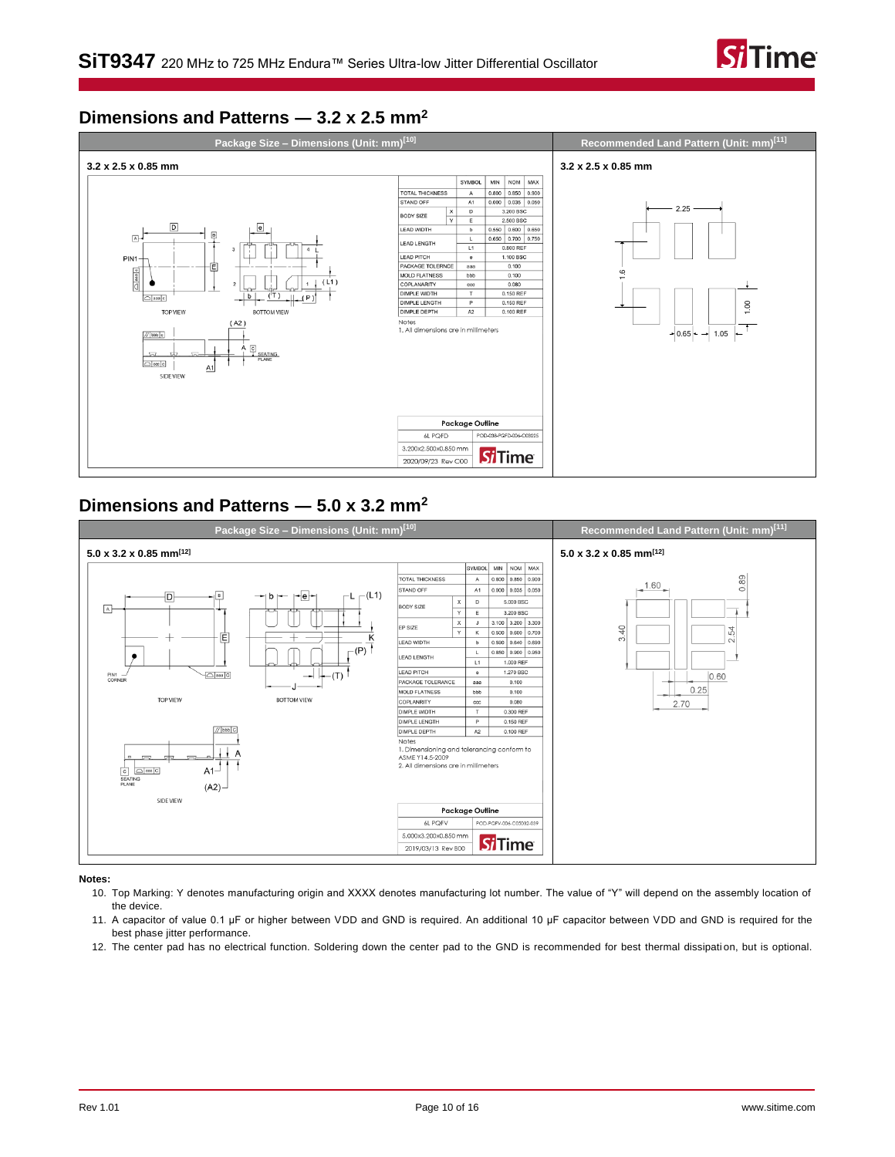

## <span id="page-12-0"></span>**Dimensions and Patterns ― 3.2 x 2.5 mm<sup>2</sup>**



## <span id="page-12-1"></span>**Dimensions and Patterns ― 5.0 x 3.2 mm<sup>2</sup>**



<span id="page-12-2"></span>**Notes:**

- 10. Top Marking: Y denotes manufacturing origin and XXXX denotes manufacturing lot number. The value of "Y" will depend on the assembly location of the device.
- <span id="page-12-3"></span>11. A capacitor of value 0.1 µF or higher between VDD and GND is required. An additional 10 µF capacitor between VDD and GND is required for the best phase jitter performance.
- <span id="page-12-4"></span>12. The center pad has no electrical function. Soldering down the center pad to the GND is recommended for best thermal dissipati on, but is optional.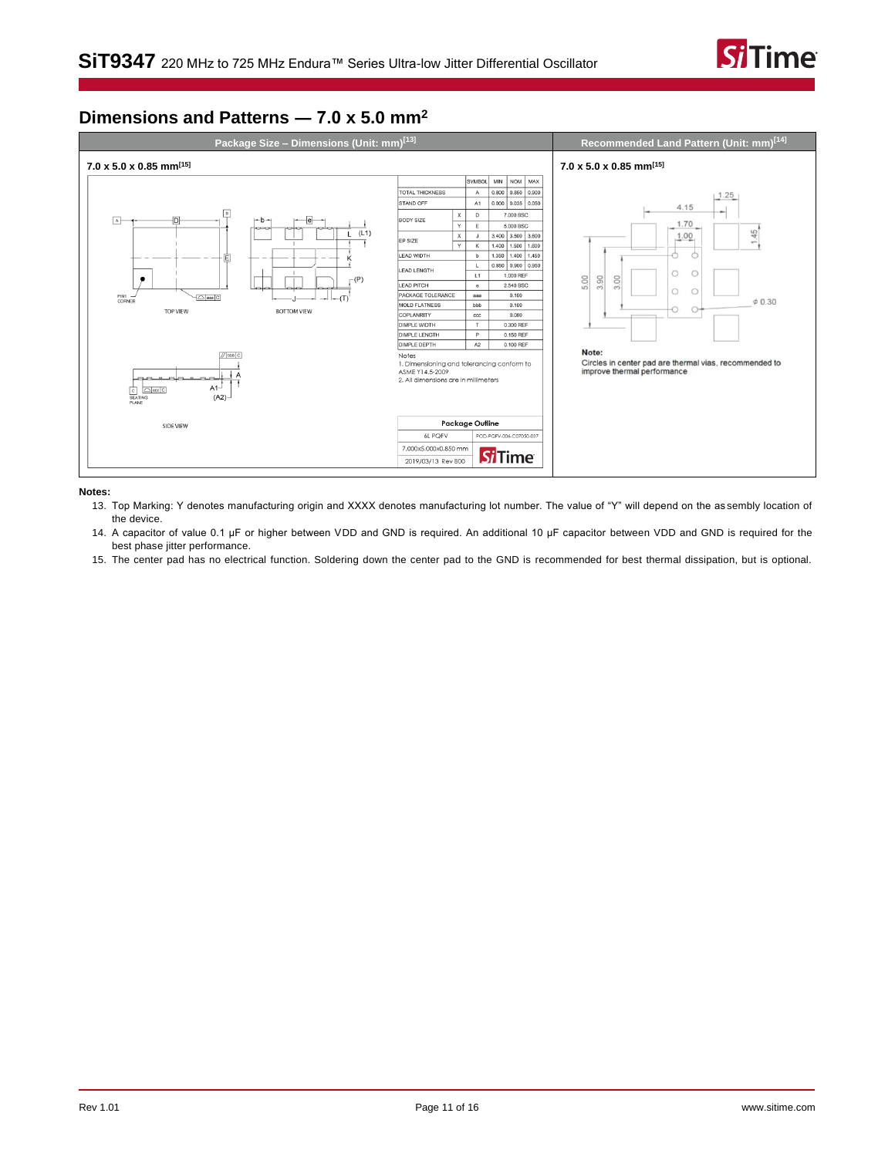

## <span id="page-13-0"></span>**Dimensions and Patterns ― 7.0 x 5.0 mm<sup>2</sup>**



#### <span id="page-13-1"></span>**Notes:**

13. Top Marking: Y denotes manufacturing origin and XXXX denotes manufacturing lot number. The value of "Y" will depend on the as sembly location of the device.

<span id="page-13-2"></span>14. A capacitor of value 0.1 µF or higher between VDD and GND is required. An additional 10 µF capacitor between VDD and GND is required for the best phase jitter performance.

<span id="page-13-3"></span>15. The center pad has no electrical function. Soldering down the center pad to the GND is recommended for best thermal dissipation, but is optional.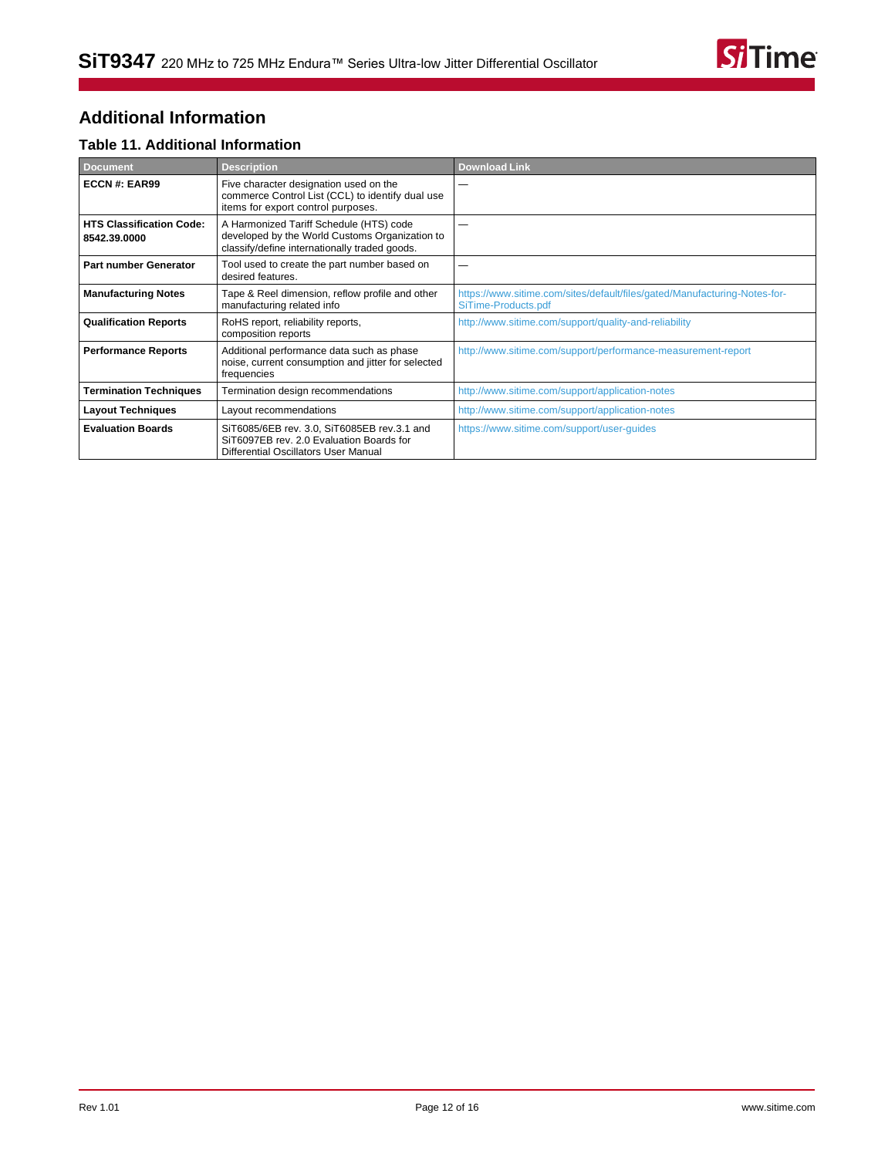

# <span id="page-14-0"></span>**Additional Information**

### **Table 11. Additional Information**

| <b>Document</b>                                 | <b>Description</b>                                                                                                                         | <b>Download Link</b>                                                                             |
|-------------------------------------------------|--------------------------------------------------------------------------------------------------------------------------------------------|--------------------------------------------------------------------------------------------------|
| ECCN#: EAR99                                    | Five character designation used on the<br>commerce Control List (CCL) to identify dual use<br>items for export control purposes.           |                                                                                                  |
| <b>HTS Classification Code:</b><br>8542.39.0000 | A Harmonized Tariff Schedule (HTS) code<br>developed by the World Customs Organization to<br>classify/define internationally traded goods. |                                                                                                  |
| Part number Generator                           | Tool used to create the part number based on<br>desired features.                                                                          |                                                                                                  |
| <b>Manufacturing Notes</b>                      | Tape & Reel dimension, reflow profile and other<br>manufacturing related info                                                              | https://www.sitime.com/sites/default/files/gated/Manufacturing-Notes-for-<br>SiTime-Products.pdf |
| <b>Qualification Reports</b>                    | RoHS report, reliability reports,<br>composition reports                                                                                   | http://www.sitime.com/support/quality-and-reliability                                            |
| <b>Performance Reports</b>                      | Additional performance data such as phase<br>noise, current consumption and jitter for selected<br>frequencies                             | http://www.sitime.com/support/performance-measurement-report                                     |
| <b>Termination Techniques</b>                   | Termination design recommendations                                                                                                         | http://www.sitime.com/support/application-notes                                                  |
| <b>Layout Techniques</b>                        | Layout recommendations                                                                                                                     | http://www.sitime.com/support/application-notes                                                  |
| <b>Evaluation Boards</b>                        | SiT6085/6EB rev. 3.0, SiT6085EB rev.3.1 and<br>SiT6097EB rev. 2.0 Evaluation Boards for<br>Differential Oscillators User Manual            | https://www.sitime.com/support/user-guides                                                       |